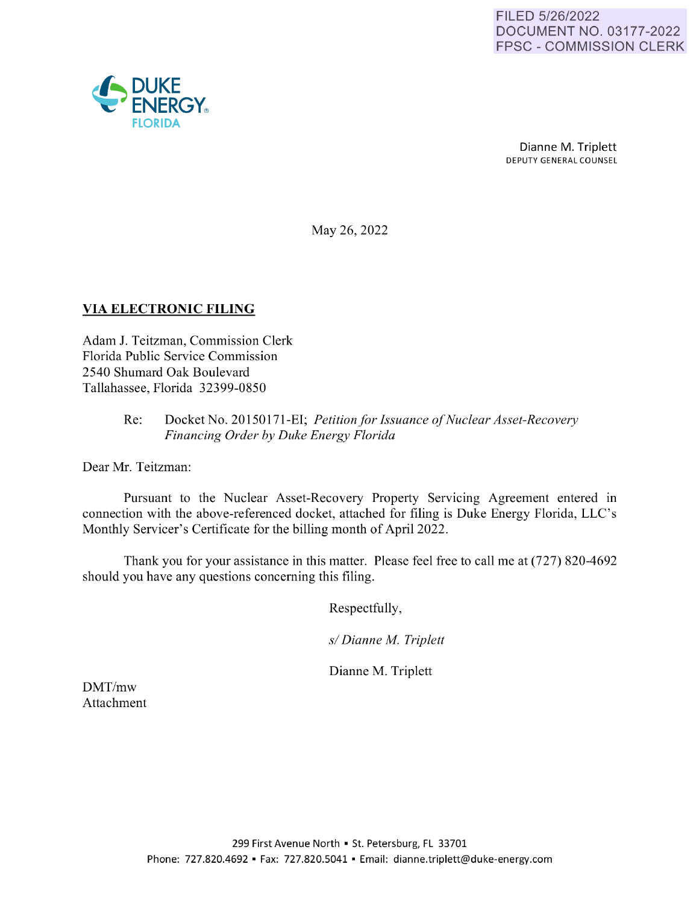

Dianne M. Triplett DEPUTY GENERAL COUNSEL

May 26, 2022

## **VIA ELECTRONIC FILING**

Adam J. Teitzman, Commission Clerk Florida Public Service Commission 2540 Shumard Oak Boulevard Tallahassee, Florida 32399-0850

## Re: Docket No. 20150171-EI; *Petition for Issuance of Nuclear Asset-Recovery Financing Order by Duke Energy Florida*

Dear Mr. Teitzman:

Pursuant to the Nuclear Asset-Recovery Property Servicing Agreement entered in connection with the above-referenced docket, attached for filing is Duke Energy Florida, LLC's Monthly Servicer's Certificate for the billing month of April 2022.

Thank you for your assistance in this matter. Please feel free to call me at (727) 820-4692 should you have any questions concerning this filing.

Respectfully,

*s/ Dianne M. Triplett* 

Dianne M. Triplett

DMT/mw Attachment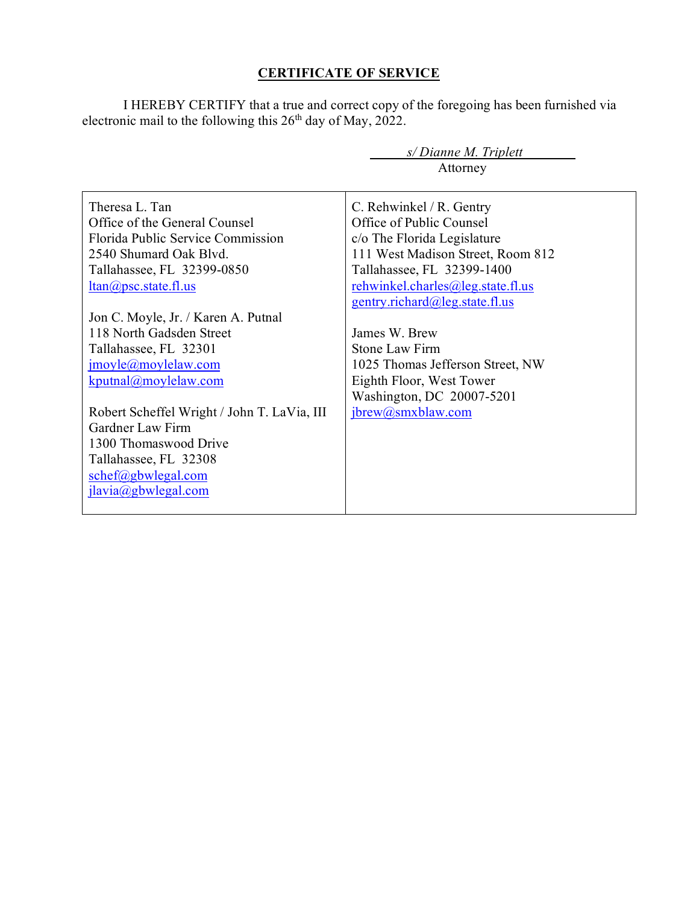## **CERTIFICATE OF SERVICE**

I HEREBY CERTIFY that a true and correct copy of the foregoing has been furnished via electronic mail to the following this  $26<sup>th</sup>$  day of May, 2022.

| $s/Di$ anne M. Triplett                     |                                   |
|---------------------------------------------|-----------------------------------|
|                                             | Attorney                          |
|                                             |                                   |
| Theresa L. Tan                              | C. Rehwinkel / R. Gentry          |
| Office of the General Counsel               | Office of Public Counsel          |
| Florida Public Service Commission           | c/o The Florida Legislature       |
| 2540 Shumard Oak Blyd.                      | 111 West Madison Street, Room 812 |
| Tallahassee, FL 32399-0850                  | Tallahassee, FL 32399-1400        |
| $ltan(\omega)$ psc.state.fl.us              | rehwinkel.charles@leg.state.fl.us |
|                                             | gentry.richard@leg.state.fl.us    |
| Jon C. Moyle, Jr. / Karen A. Putnal         |                                   |
| 118 North Gadsden Street                    | James W. Brew                     |
| Tallahassee, FL 32301                       | Stone Law Firm                    |
| $\text{imoyle}(a)$ moylelaw.com             | 1025 Thomas Jefferson Street, NW  |
| $k$ putnal@moylelaw.com                     | Eighth Floor, West Tower          |
|                                             | Washington, DC 20007-5201         |
| Robert Scheffel Wright / John T. LaVia, III | jbrew@smxblaw.com                 |
| Gardner Law Firm                            |                                   |
| 1300 Thomaswood Drive                       |                                   |
| Tallahassee, FL 32308                       |                                   |
| schef@gbwlegal.com                          |                                   |
| jlavia@gbwlegal.com                         |                                   |
|                                             |                                   |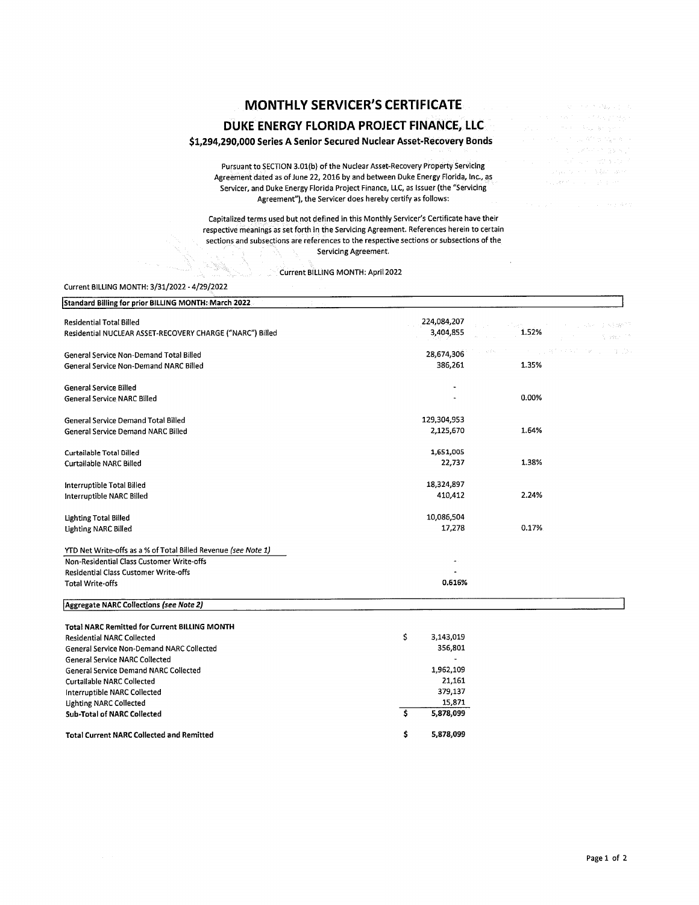# **MONTHLY SERVICER'S CERTIFICATE**

### **DUKE ENERGY FLORIDA PROJECT FINANCE, LLC**

#### **\$1,294,290,000 Series A Senior Secured Nuclear Asset-Recovery Bonds**

Pursuant to SECTION 3.0l(b) of the Nuclear Asset-Recovery Property Servicing Agreement dated as of June 22, 2016 by and between Duke Energy Florida, Inc., as Servicer, and Duke Energy Florida Project Finance, LLC, as Issuer (the "Servicing Agreement"), the Servicer does hereby certify as follows:

Capitalized terms used but not defined in this Monthly Servicer's Certificate have their respective meanings as set forth in the Servicing Agreement. References herein to certain sections and subsections are references to the respective sections or subsections of the Servicing Agreement.

Current BILLING MONTH: April 2022

#### Current BILLING MONTH: 3/31/2022 - 4/29/2022

 $\label{eq:2.1} \begin{aligned} \mathcal{L}_{\mathcal{A}} & \stackrel{\text{def}}{=} \mathcal{L}_{\mathcal{A}} \mathcal{L}_{\mathcal{A}}^{(1)} \mathcal{L}_{\mathcal{A}}^{(2)} \mathcal{L}_{\mathcal{A}}^{(3)} \mathcal{L}_{\mathcal{A}}^{(4)} \mathcal{L}_{\mathcal{A}}^{(5)} \mathcal{L}_{\mathcal{A}}^{(6)} \mathcal{L}_{\mathcal{A}}^{(7)} \mathcal{L}_{\mathcal{A}}^{(8)} \mathcal{L}_{\mathcal{A}}^{(8)} \mathcal{L}_{\mathcal{A}}^{(8)} \mathcal{L}_{\mathcal{A$ 

| Standard Billing for prior BILLING MONTH: March 2022                                         |                          |                             |
|----------------------------------------------------------------------------------------------|--------------------------|-----------------------------|
| <b>Residential Total Billed</b><br>Residential NUCLEAR ASSET-RECOVERY CHARGE ("NARC") Billed | 224,084,207<br>3,404,855 | 시안하다<br>1.52%<br>it vach in |
| General Service Non-Demand Total Billed                                                      | 28,674,306               | 1. 我们一本女孩的时候。<br>-3.03      |
| General Service Non-Demand NARC Billed                                                       | 386,261                  | 1.35%                       |
| <b>General Service Billed</b>                                                                |                          |                             |
| <b>General Service NARC Billed</b>                                                           |                          | 0.00%                       |
| General Service Demand Total Billed                                                          | 129,304,953              |                             |
| General Service Demand NARC Billed                                                           | 2,125,670                | 1.64%                       |
| Curtailable Total Billed                                                                     | 1,651,005                |                             |
| <b>Curtailable NARC Billed</b>                                                               | 22,737                   | 1.38%                       |
| Interruptible Total Billed                                                                   | 18,324,897               |                             |
| Interruptible NARC Billed                                                                    | 410,412                  | 2.24%                       |
| <b>Lighting Total Billed</b>                                                                 | 10,086,504               |                             |
| <b>Lighting NARC Billed</b>                                                                  | 17,278                   | 0.17%                       |
| YTD Net Write-offs as a % of Total Billed Revenue (see Note 1)                               |                          |                             |
| Non-Residential Class Customer Write-offs                                                    |                          |                             |
| Residential Class Customer Write-offs                                                        |                          |                             |
| <b>Total Write-offs</b>                                                                      | 0.616%                   |                             |
| Aggregate NARC Collections (see Note 2)                                                      |                          |                             |
| <b>Total NARC Remitted for Current BILLING MONTH</b>                                         |                          |                             |
| <b>Residential NARC Collected</b>                                                            | \$<br>3,143,019          |                             |
| General Service Non-Demand NARC Collected                                                    | 356,801                  |                             |
| <b>General Service NARC Collected</b>                                                        |                          |                             |
| <b>General Service Demand NARC Collected</b>                                                 | 1,962,109                |                             |
| <b>Curtailable NARC Collected</b>                                                            | 21,161                   |                             |

\$ \$

379,137 15,871 **5,878,099 5,878,099** 

**Sub-Total of NARC Collected Total Current NARC Collected and Remitted** 

Interruptible NARC Collected Lighting NARC Collected

→ Windows 2000 × 2000